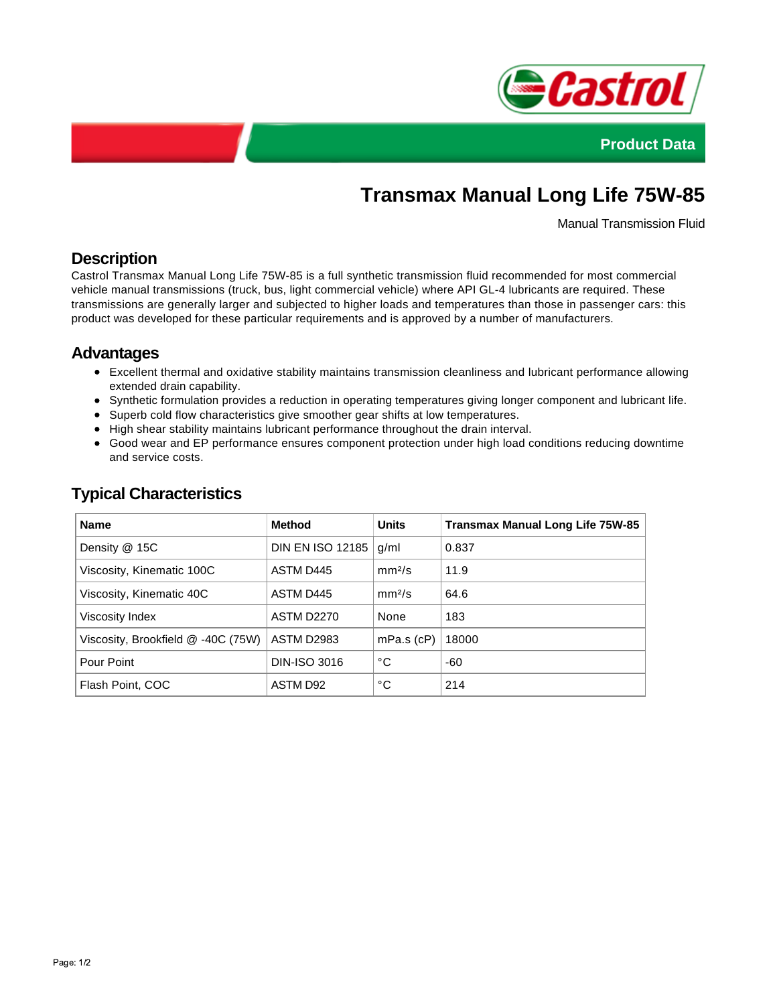



# **Transmax Manual Long Life 75W-85**

Manual Transmission Fluid

## **Description**

Castrol Transmax Manual Long Life 75W-85 is a full synthetic transmission fluid recommended for most commercial vehicle manual transmissions (truck, bus, light commercial vehicle) where API GL-4 lubricants are required. These transmissions are generally larger and subjected to higher loads and temperatures than those in passenger cars: this product was developed for these particular requirements and is approved by a number of manufacturers.

### **Advantages**

- Excellent thermal and oxidative stability maintains transmission cleanliness and lubricant performance allowing extended drain capability.
- Synthetic formulation provides a reduction in operating temperatures giving longer component and lubricant life.
- Superb cold flow characteristics give smoother gear shifts at low temperatures.
- High shear stability maintains lubricant performance throughout the drain interval.
- Good wear and EP performance ensures component protection under high load conditions reducing downtime and service costs.

| <b>Method</b>           | <b>Units</b>       | Transmax Manual Long Life 75W-85 |
|-------------------------|--------------------|----------------------------------|
| <b>DIN EN ISO 12185</b> | g/ml               | 0.837                            |
| ASTM D445               | mm <sup>2</sup> /s | 11.9                             |
| ASTM D445               | mm <sup>2</sup> /s | 64.6                             |
| <b>ASTM D2270</b>       | None               | 183                              |
| <b>ASTM D2983</b>       | $mPa.s$ ( $cP$ )   | 18000                            |
| <b>DIN-ISO 3016</b>     | °С                 | -60                              |
| ASTM D92                | °С                 | 214                              |
|                         |                    |                                  |

## **Typical Characteristics**